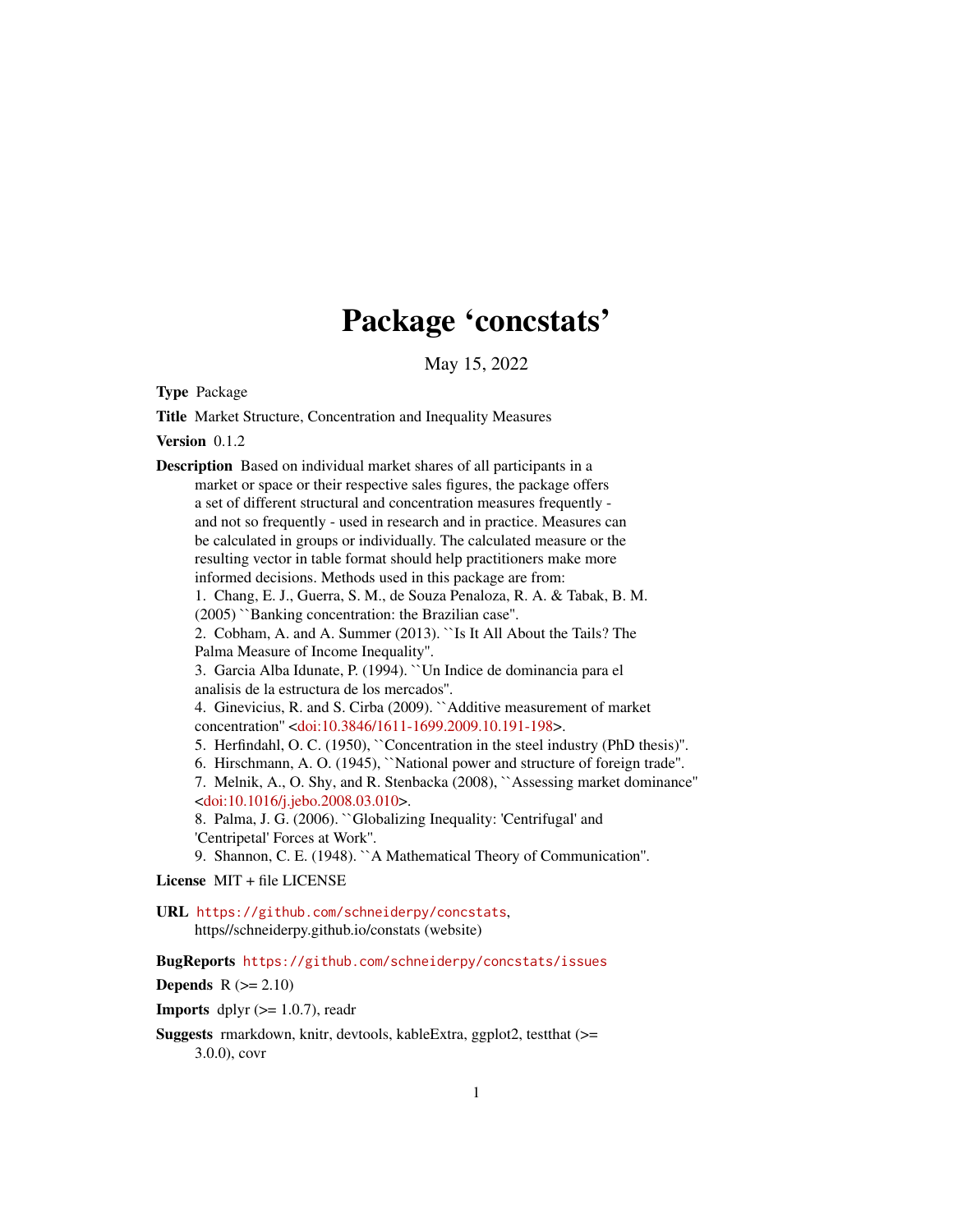# Package 'concstats'

May 15, 2022

Type Package

Title Market Structure, Concentration and Inequality Measures

Version 0.1.2

Description Based on individual market shares of all participants in a market or space or their respective sales figures, the package offers a set of different structural and concentration measures frequently and not so frequently - used in research and in practice. Measures can be calculated in groups or individually. The calculated measure or the resulting vector in table format should help practitioners make more informed decisions. Methods used in this package are from: 1. Chang, E. J., Guerra, S. M., de Souza Penaloza, R. A. & Tabak, B. M. (2005) ``Banking concentration: the Brazilian case''. 2. Cobham, A. and A. Summer (2013). ``Is It All About the Tails? The Palma Measure of Income Inequality''. 3. Garcia Alba Idunate, P. (1994). ``Un Indice de dominancia para el analisis de la estructura de los mercados''. 4. Ginevicius, R. and S. Cirba (2009). ``Additive measurement of market concentration'' [<doi:10.3846/1611-1699.2009.10.191-198>](https://doi.org/10.3846/1611-1699.2009.10.191-198). 5. Herfindahl, O. C. (1950), ``Concentration in the steel industry (PhD thesis)''. 6. Hirschmann, A. O. (1945), ``National power and structure of foreign trade''. 7. Melnik, A., O. Shy, and R. Stenbacka (2008), ``Assessing market dominance'' [<doi:10.1016/j.jebo.2008.03.010>](https://doi.org/10.1016/j.jebo.2008.03.010). 8. Palma, J. G. (2006). ``Globalizing Inequality: 'Centrifugal' and 'Centripetal' Forces at Work''. 9. Shannon, C. E. (1948). ``A Mathematical Theory of Communication''.

License MIT + file LICENSE

URL <https://github.com/schneiderpy/concstats>, https//schneiderpy.github.io/constats (website)

BugReports <https://github.com/schneiderpy/concstats/issues>

Depends  $R$  ( $>= 2.10$ )

**Imports** dplyr  $(>= 1.0.7)$ , readr

Suggests rmarkdown, knitr, devtools, kableExtra, ggplot2, testthat (>= 3.0.0), covr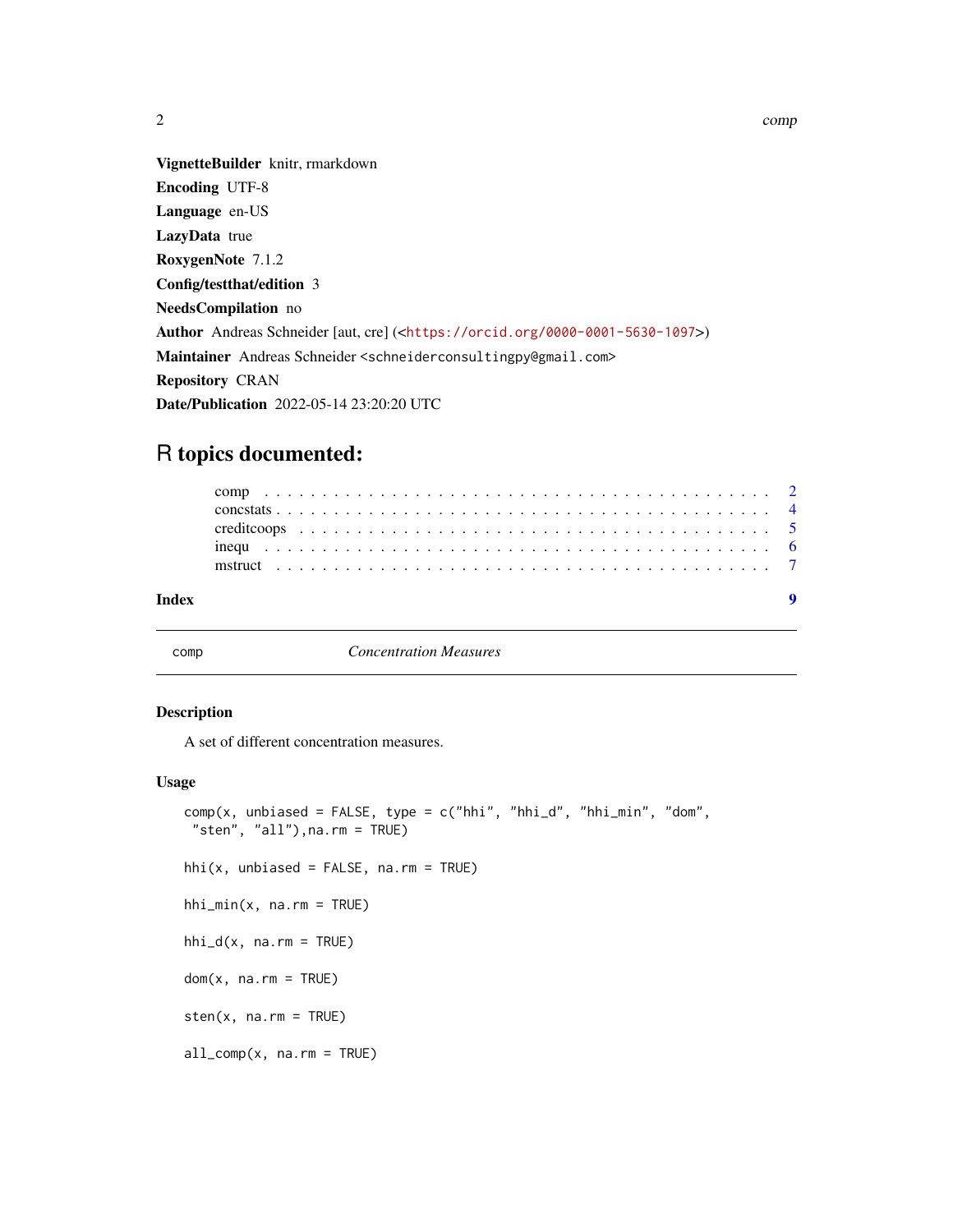<span id="page-1-0"></span>

VignetteBuilder knitr, rmarkdown Encoding UTF-8 Language en-US LazyData true RoxygenNote 7.1.2 Config/testthat/edition 3 NeedsCompilation no Author Andreas Schneider [aut, cre] (<<https://orcid.org/0000-0001-5630-1097>>) Maintainer Andreas Schneider <schneiderconsultingpy@gmail.com>

Repository CRAN

Date/Publication 2022-05-14 23:20:20 UTC

# R topics documented:

| Index |  |  |  |  |  |  |  |  |  |  |  |  |  |  |  |  |  |  |  |  |
|-------|--|--|--|--|--|--|--|--|--|--|--|--|--|--|--|--|--|--|--|--|
|       |  |  |  |  |  |  |  |  |  |  |  |  |  |  |  |  |  |  |  |  |
|       |  |  |  |  |  |  |  |  |  |  |  |  |  |  |  |  |  |  |  |  |
|       |  |  |  |  |  |  |  |  |  |  |  |  |  |  |  |  |  |  |  |  |
|       |  |  |  |  |  |  |  |  |  |  |  |  |  |  |  |  |  |  |  |  |

<span id="page-1-1"></span>

comp *Concentration Measures*

# Description

A set of different concentration measures.

# Usage

```
comp(x, unbiased = FALSE, type = c("hhi", "hhi_d", "hhi_min", "dom",
"sten", "all"),na.rm = TRUE)
```
 $hhi(x, unbiased = FALSE, na.rm = TRUE)$ 

```
hhi_min(x, na.rm = TRUE)
```
 $hhi_d(x, na.rm = TRUE)$ 

 $dom(x, na.rm = TRUE)$ 

 $sten(x, na.rm = TRUE)$ 

 $all\_comp(x, na.rm = TRUE)$ 

 $2<sup>2</sup>$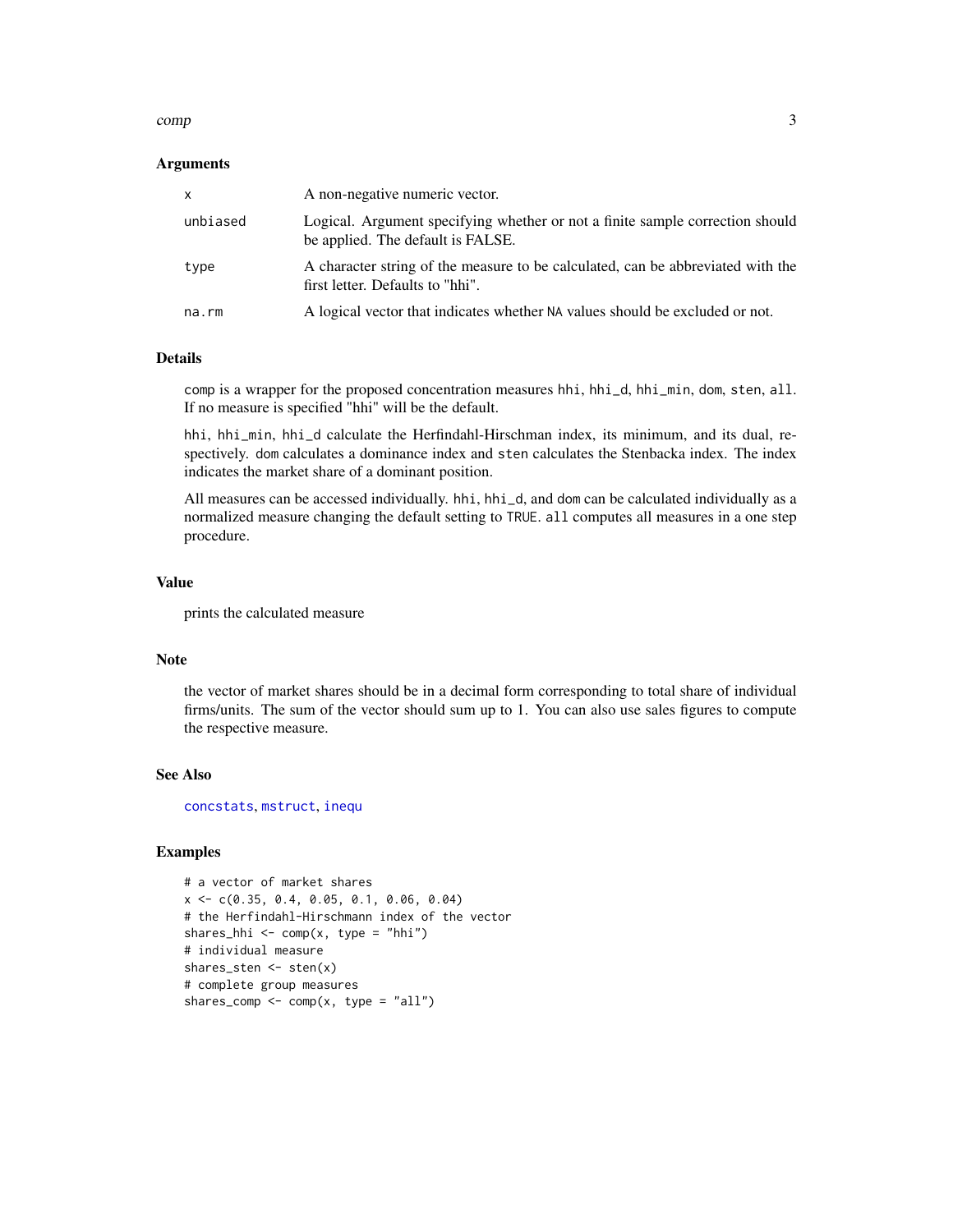### <span id="page-2-0"></span>comp 3

# **Arguments**

| $\times$ | A non-negative numeric vector.                                                                                      |
|----------|---------------------------------------------------------------------------------------------------------------------|
| unbiased | Logical. Argument specifying whether or not a finite sample correction should<br>be applied. The default is FALSE.  |
| type     | A character string of the measure to be calculated, can be abbreviated with the<br>first letter. Defaults to "hhi". |
| na.rm    | A logical vector that indicates whether NA values should be excluded or not.                                        |

# Details

comp is a wrapper for the proposed concentration measures hhi, hhi\_d, hhi\_min, dom, sten, all. If no measure is specified "hhi" will be the default.

hhi, hhi\_min, hhi\_d calculate the Herfindahl-Hirschman index, its minimum, and its dual, respectively. dom calculates a dominance index and sten calculates the Stenbacka index. The index indicates the market share of a dominant position.

All measures can be accessed individually. hhi, hhi\_d, and dom can be calculated individually as a normalized measure changing the default setting to TRUE. all computes all measures in a one step procedure.

# Value

prints the calculated measure

# Note

the vector of market shares should be in a decimal form corresponding to total share of individual firms/units. The sum of the vector should sum up to 1. You can also use sales figures to compute the respective measure.

## See Also

[concstats](#page-3-1), [mstruct](#page-6-1), [inequ](#page-5-1)

```
# a vector of market shares
x <- c(0.35, 0.4, 0.05, 0.1, 0.06, 0.04)
# the Herfindahl-Hirschmann index of the vector
shares_hhi <- comp(x, type = "hhi")# individual measure
shares_sten <- sten(x)
# complete group measures
shares_comp \leq comp(x, type = "all")
```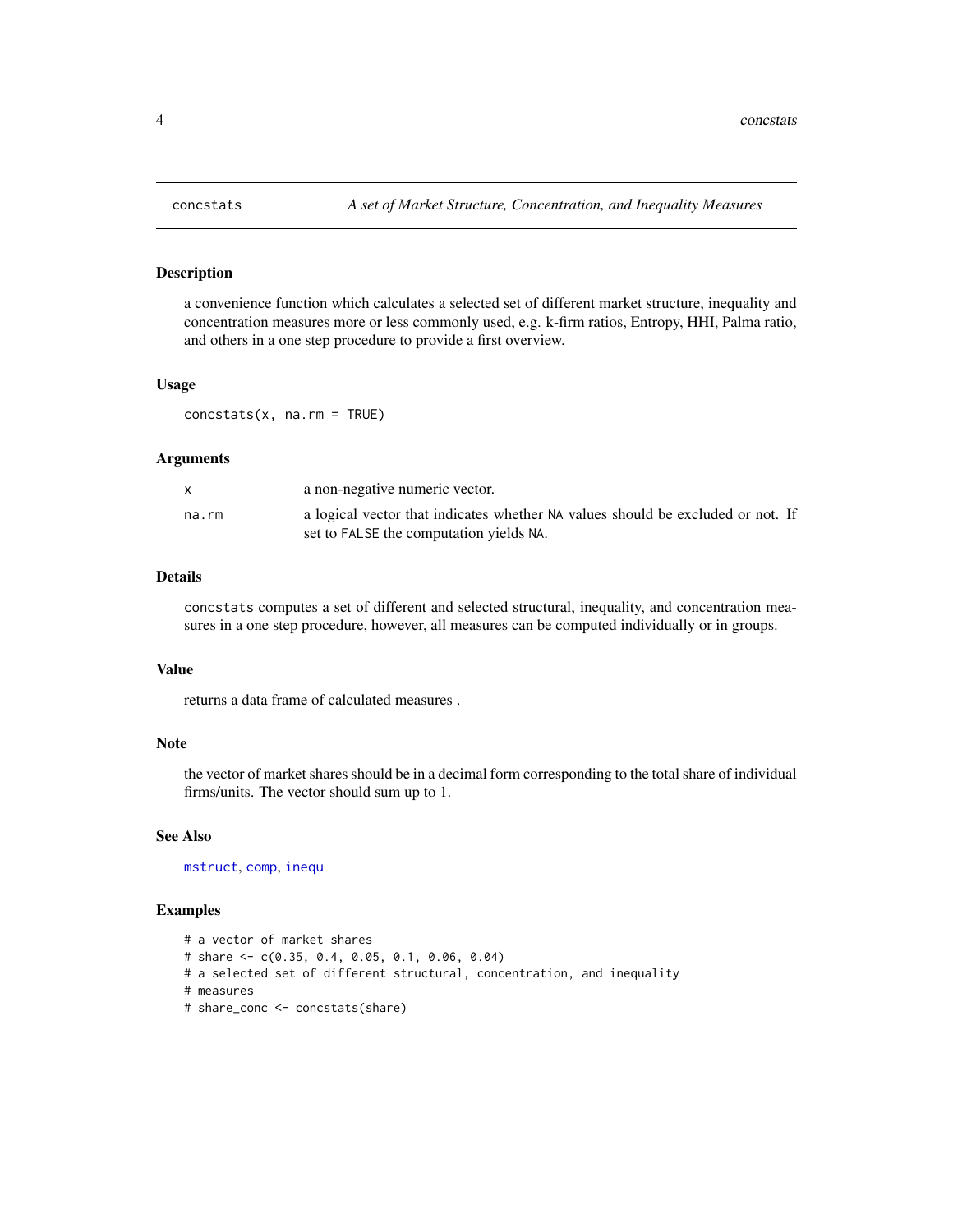# Description

a convenience function which calculates a selected set of different market structure, inequality and concentration measures more or less commonly used, e.g. k-firm ratios, Entropy, HHI, Palma ratio, and others in a one step procedure to provide a first overview.

# Usage

concstats(x, na.rm = TRUE)

## **Arguments**

|       | a non-negative numeric vector.                                                                                             |
|-------|----------------------------------------------------------------------------------------------------------------------------|
| na.rm | a logical vector that indicates whether NA values should be excluded or not. If<br>set to FALSE the computation yields NA. |

# Details

concstats computes a set of different and selected structural, inequality, and concentration measures in a one step procedure, however, all measures can be computed individually or in groups.

# Value

returns a data frame of calculated measures .

# Note

the vector of market shares should be in a decimal form corresponding to the total share of individual firms/units. The vector should sum up to 1.

## See Also

[mstruct](#page-6-1), [comp](#page-1-1), [inequ](#page-5-1)

```
# a vector of market shares
# share <- c(0.35, 0.4, 0.05, 0.1, 0.06, 0.04)
# a selected set of different structural, concentration, and inequality
# measures
# share_conc <- concstats(share)
```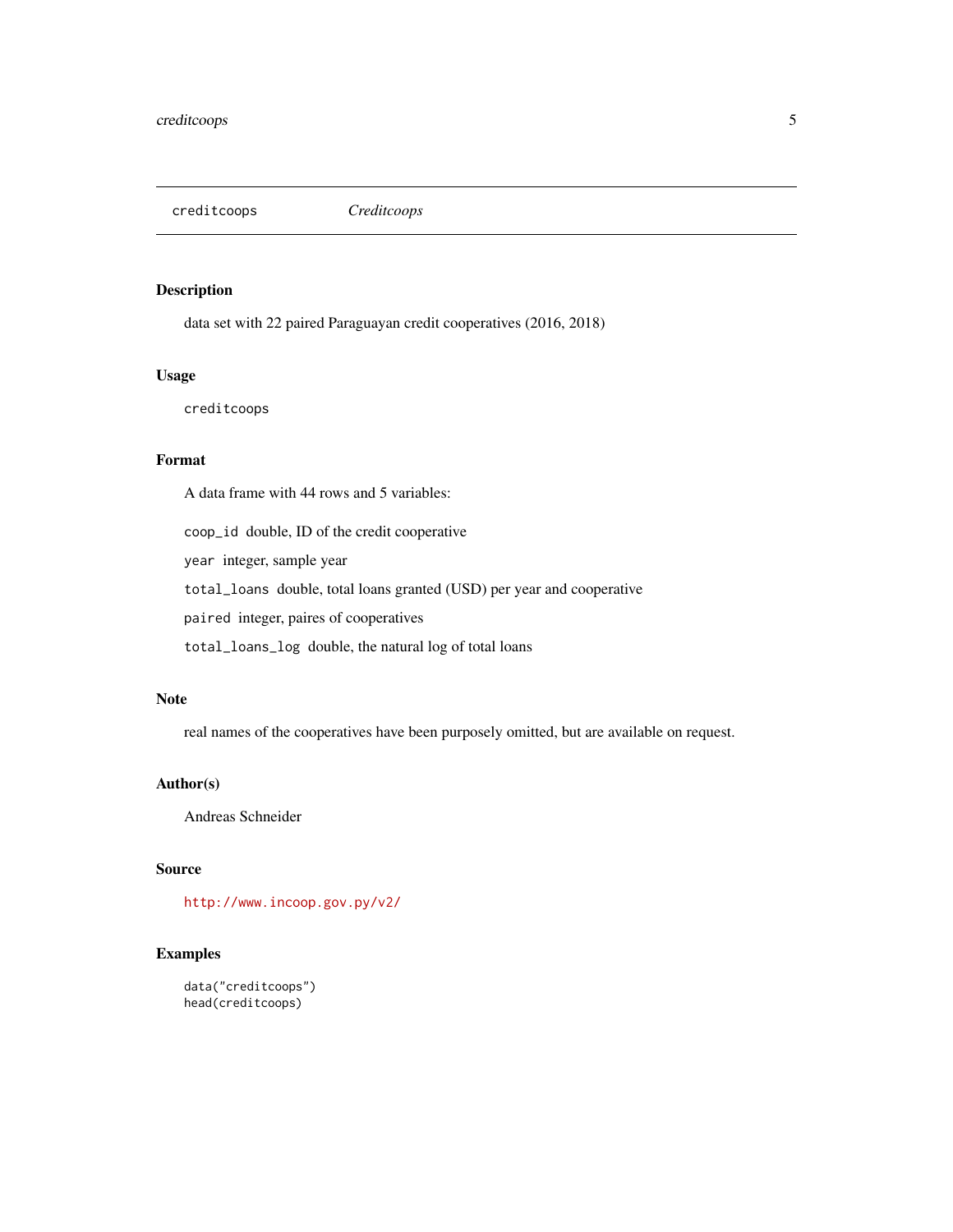<span id="page-4-0"></span>creditcoops *Creditcoops*

# Description

data set with 22 paired Paraguayan credit cooperatives (2016, 2018)

# Usage

creditcoops

# Format

A data frame with 44 rows and 5 variables:

coop\_id double, ID of the credit cooperative

year integer, sample year

total\_loans double, total loans granted (USD) per year and cooperative

paired integer, paires of cooperatives

total\_loans\_log double, the natural log of total loans

# Note

real names of the cooperatives have been purposely omitted, but are available on request.

# Author(s)

Andreas Schneider

# Source

<http://www.incoop.gov.py/v2/>

```
data("creditcoops")
head(creditcoops)
```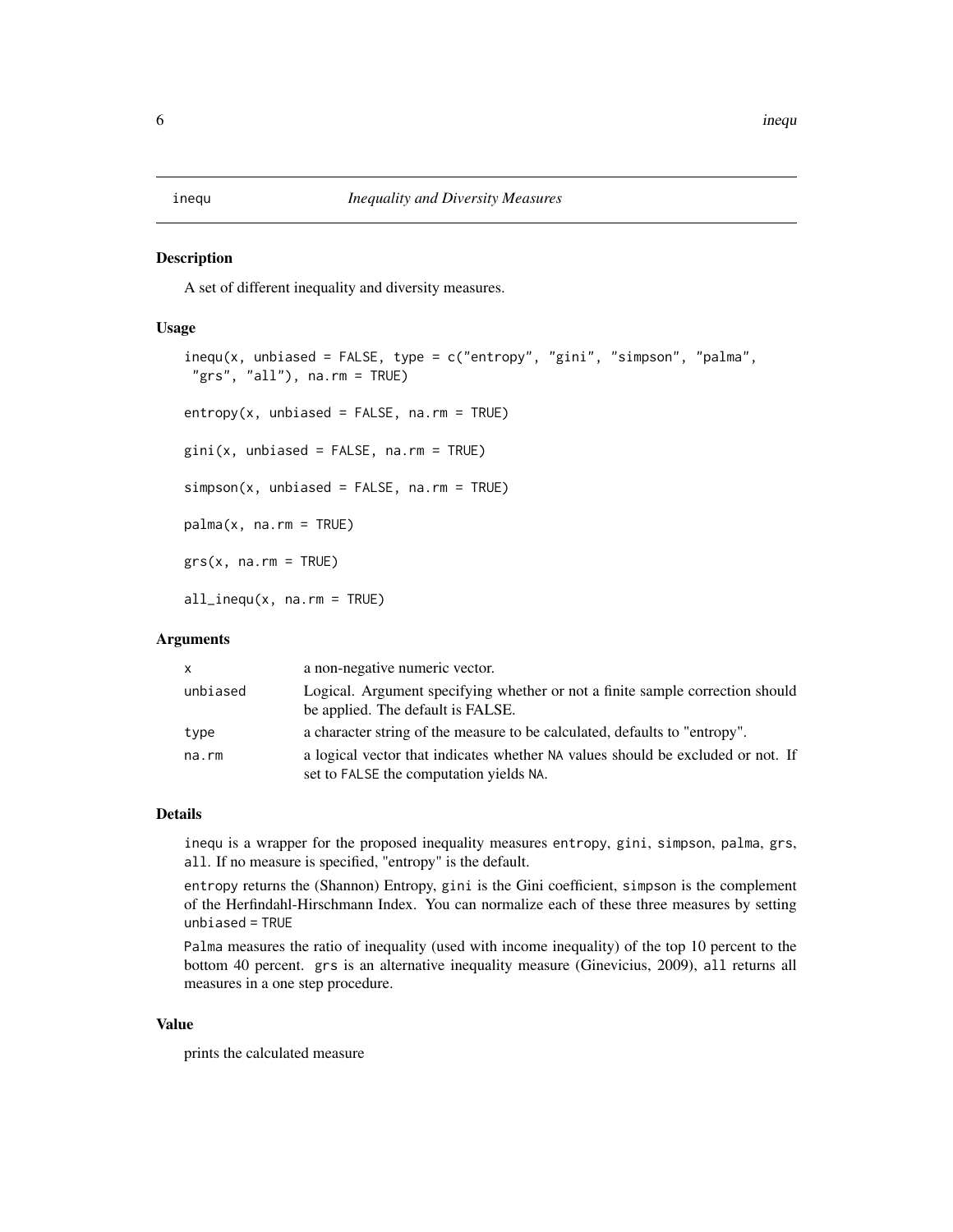# <span id="page-5-1"></span><span id="page-5-0"></span>**Description**

A set of different inequality and diversity measures.

# Usage

```
inequ(x, unbiased = FALSE, type = c("entropy", "gini", "simpson", "palma",
 "grs", "all"), na.rm = TRUE)
entropy(x, unbiased = FALSE, na.rm = TRUE)gini(x, unbiased = FALSE, na.rm = TRUE)simp(x, unbiased = FALSE, na.rm = TRUE)palma(x, na.rm = TRUE)grs(x, na.rm = TRUE)all_inequ(x, na.rm = TRUE)
```
# Arguments

| X        | a non-negative numeric vector.                                                                                             |
|----------|----------------------------------------------------------------------------------------------------------------------------|
| unbiased | Logical. Argument specifying whether or not a finite sample correction should<br>be applied. The default is FALSE.         |
| type     | a character string of the measure to be calculated, defaults to "entropy".                                                 |
| na.rm    | a logical vector that indicates whether NA values should be excluded or not. If<br>set to FALSE the computation yields NA. |

# Details

inequ is a wrapper for the proposed inequality measures entropy, gini, simpson, palma, grs, all. If no measure is specified, "entropy" is the default.

entropy returns the (Shannon) Entropy, gini is the Gini coefficient, simpson is the complement of the Herfindahl-Hirschmann Index. You can normalize each of these three measures by setting unbiased = TRUE

Palma measures the ratio of inequality (used with income inequality) of the top 10 percent to the bottom 40 percent. grs is an alternative inequality measure (Ginevicius, 2009), all returns all measures in a one step procedure.

#### Value

prints the calculated measure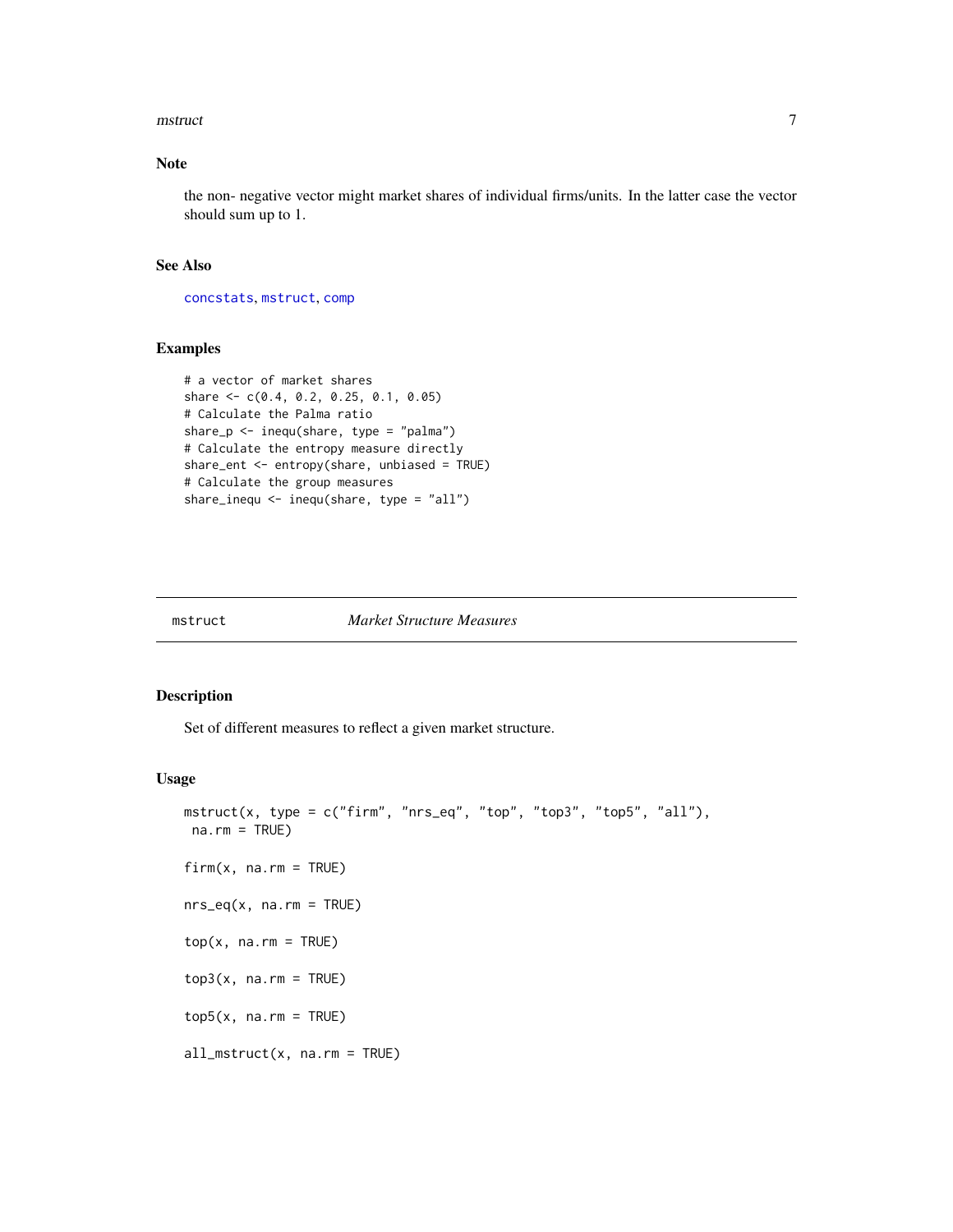### <span id="page-6-0"></span>mstruct 7 and 7 and 7 and 7 and 7 and 7 and 7 and 7 and 7 and 7 and 7 and 7 and 7 and 7 and 7 and 7 and 7 and 7

# Note

the non- negative vector might market shares of individual firms/units. In the latter case the vector should sum up to 1.

# See Also

[concstats](#page-3-1), [mstruct](#page-6-1), [comp](#page-1-1)

# Examples

```
# a vector of market shares
share <- c(0.4, 0.2, 0.25, 0.1, 0.05)
# Calculate the Palma ratio
share_p \le inequ(share, type = "palma")
# Calculate the entropy measure directly
share_ent <- entropy(share, unbiased = TRUE)
# Calculate the group measures
share_inequ <- inequ(share, type = "all")
```
<span id="page-6-1"></span>

#### mstruct *Market Structure Measures*

# Description

Set of different measures to reflect a given market structure.

#### Usage

```
mstruct(x, type = c("firm", "nrs_eq", "top", "top3", "top5", "all"),
na.rm = TRUE)
firm(x, na.m = TRUE)nrs_eq(x, na.rm = TRUE)
top(x, \text{na.m} = \text{TRUE})top3(x, na.rm = TRUE)top5(x, na.rm = TRUE)all_mstruct(x, na.rm = TRUE)
```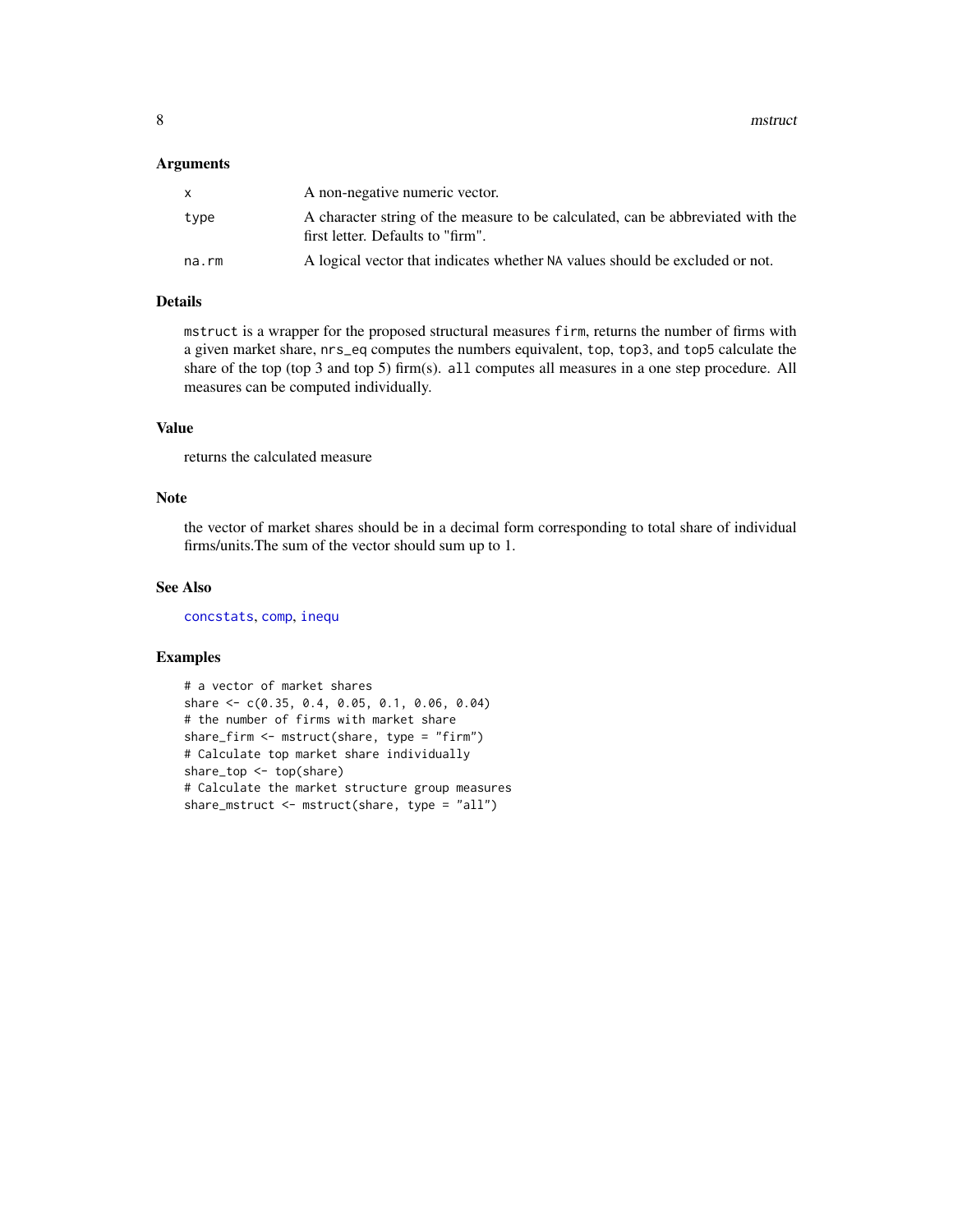### <span id="page-7-0"></span>Arguments

| X     | A non-negative numeric vector.                                                                                       |
|-------|----------------------------------------------------------------------------------------------------------------------|
| type  | A character string of the measure to be calculated, can be abbreviated with the<br>first letter. Defaults to "firm". |
| na.rm | A logical vector that indicates whether NA values should be excluded or not.                                         |

# Details

mstruct is a wrapper for the proposed structural measures firm, returns the number of firms with a given market share, nrs\_eq computes the numbers equivalent, top, top3, and top5 calculate the share of the top (top 3 and top 5) firm(s). all computes all measures in a one step procedure. All measures can be computed individually.

# Value

returns the calculated measure

# Note

the vector of market shares should be in a decimal form corresponding to total share of individual firms/units.The sum of the vector should sum up to 1.

# See Also

[concstats](#page-3-1), [comp](#page-1-1), [inequ](#page-5-1)

```
# a vector of market shares
share <- c(0.35, 0.4, 0.05, 0.1, 0.06, 0.04)
# the number of firms with market share
share_firm <- mstruct(share, type = "firm")
# Calculate top market share individually
share_top <- top(share)
# Calculate the market structure group measures
share_mstruct <- mstruct(share, type = "all")
```